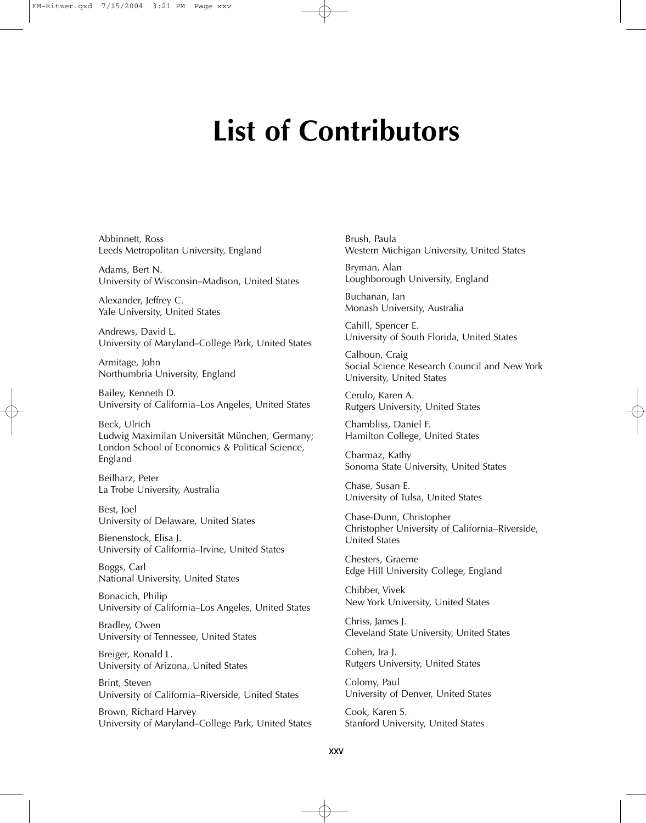# **List of Contributors**

Abbinnett, Ross Leeds Metropolitan University, England

Adams, Bert N. University of Wisconsin–Madison, United States

Alexander, Jeffrey C. Yale University, United States

Andrews, David L. University of Maryland–College Park, United States

Armitage, John Northumbria University, England

Bailey, Kenneth D. University of California–Los Angeles, United States

Beck, Ulrich Ludwig Maximilan Universität München, Germany; London School of Economics & Political Science, England

Beilharz, Peter La Trobe University, Australia

Best, Joel University of Delaware, United States

Bienenstock, Elisa J. University of California–Irvine, United States

Boggs, Carl National University, United States

Bonacich, Philip University of California–Los Angeles, United States

Bradley, Owen University of Tennessee, United States

Breiger, Ronald L. University of Arizona, United States

Brint, Steven University of California–Riverside, United States

Brown, Richard Harvey University of Maryland–College Park, United States Brush, Paula Western Michigan University, United States

Bryman, Alan Loughborough University, England

Buchanan, Ian Monash University, Australia

Cahill, Spencer E. University of South Florida, United States

Calhoun, Craig Social Science Research Council and New York University, United States

Cerulo, Karen A. Rutgers University, United States

Chambliss, Daniel F. Hamilton College, United States

Charmaz, Kathy Sonoma State University, United States

Chase, Susan E. University of Tulsa, United States

Chase-Dunn, Christopher Christopher University of California–Riverside, United States

Chesters, Graeme Edge Hill University College, England

Chibber, Vivek New York University, United States

Chriss, James J. Cleveland State University, United States

Cohen, Ira J. Rutgers University, United States

Colomy, Paul University of Denver, United States

Cook, Karen S. Stanford University, United States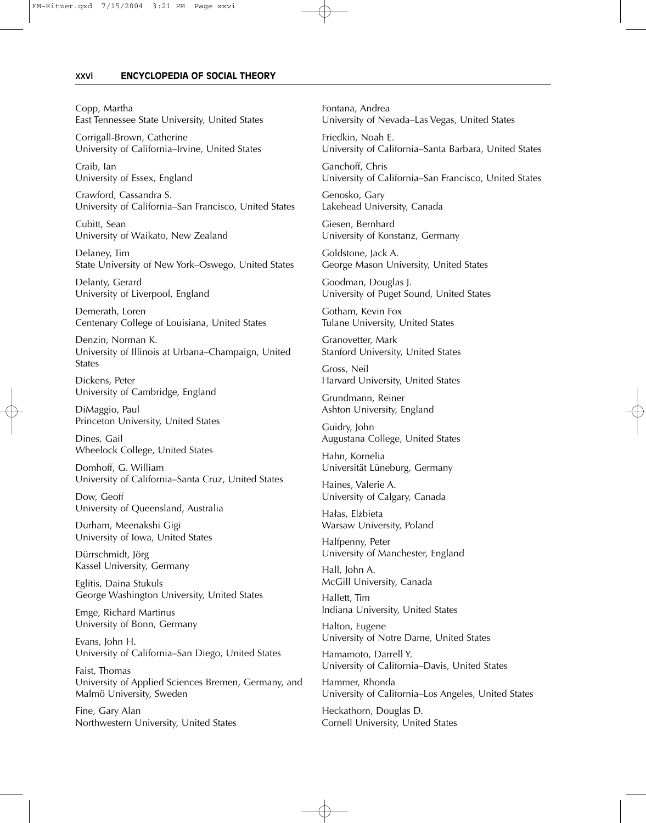## xxvi———**ENCYCLOPEDIA OF SOCIAL THEORY**

Copp, Martha East Tennessee State University, United States

Corrigall-Brown, Catherine University of California–Irvine, United States

Craib, Ian University of Essex, England

Crawford, Cassandra S. University of California–San Francisco, United States

Cubitt, Sean University of Waikato, New Zealand

Delaney, Tim State University of New York–Oswego, United States

Delanty, Gerard University of Liverpool, England

Demerath, Loren Centenary College of Louisiana, United States

Denzin, Norman K. University of Illinois at Urbana–Champaign, United States

Dickens, Peter University of Cambridge, England

DiMaggio, Paul Princeton University, United States

Dines, Gail Wheelock College, United States

Domhoff, G. William University of California–Santa Cruz, United States

Dow, Geoff University of Queensland, Australia

Durham, Meenakshi Gigi University of Iowa, United States

Dürrschmidt, Jörg Kassel University, Germany

Eglitis, Daina Stukuls George Washington University, United States

Emge, Richard Martinus University of Bonn, Germany

Evans, John H. University of California–San Diego, United States

Faist, Thomas University of Applied Sciences Bremen, Germany, and Malmö University, Sweden

Fine, Gary Alan Northwestern University, United States Fontana, Andrea University of Nevada–Las Vegas, United States

Friedkin, Noah E. University of California–Santa Barbara, United States

Ganchoff, Chris University of California–San Francisco, United States

Genosko, Gary Lakehead University, Canada

Giesen, Bernhard University of Konstanz, Germany

Goldstone, Jack A. George Mason University, United States

Goodman, Douglas J. University of Puget Sound, United States

Gotham, Kevin Fox Tulane University, United States

Granovetter, Mark Stanford University, United States

Gross, Neil Harvard University, United States

Grundmann, Reiner Ashton University, England

Guidry, John Augustana College, United States

Hahn, Kornelia Universität Lüneburg, Germany

Haines, Valerie A. University of Calgary, Canada

Hałas, Elżbieta Warsaw University, Poland

Halfpenny, Peter University of Manchester, England

Hall, John A. McGill University, Canada

Hallett, Tim Indiana University, United States

Halton, Eugene University of Notre Dame, United States

Hamamoto, Darrell Y. University of California–Davis, United States

Hammer, Rhonda University of California–Los Angeles, United States

Heckathorn, Douglas D. Cornell University, United States

 $\oplus$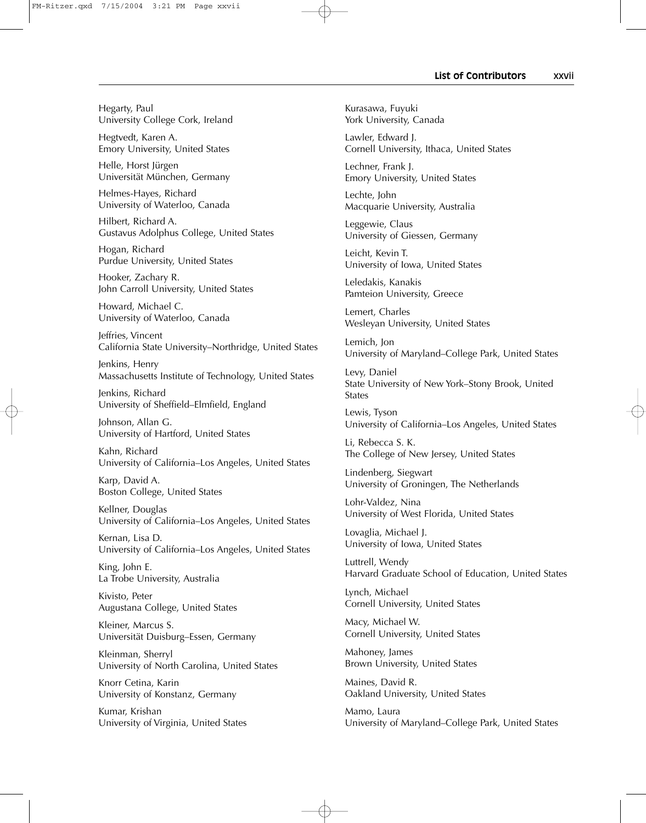## **List of Contributors———**xxvii

Hegarty, Paul University College Cork, Ireland

Hegtvedt, Karen A. Emory University, United States

Helle, Horst Jürgen Universität München, Germany

Helmes-Hayes, Richard University of Waterloo, Canada

Hilbert, Richard A. Gustavus Adolphus College, United States

Hogan, Richard Purdue University, United States

Hooker, Zachary R. John Carroll University, United States

Howard, Michael C. University of Waterloo, Canada

Jeffries, Vincent California State University–Northridge, United States

Jenkins, Henry Massachusetts Institute of Technology, United States

Jenkins, Richard University of Sheffield–Elmfield, England

Johnson, Allan G. University of Hartford, United States

Kahn, Richard University of California–Los Angeles, United States

Karp, David A. Boston College, United States

Kellner, Douglas University of California–Los Angeles, United States

Kernan, Lisa D. University of California–Los Angeles, United States

King, John E. La Trobe University, Australia

Kivisto, Peter Augustana College, United States

Kleiner, Marcus S. Universität Duisburg–Essen, Germany

Kleinman, Sherryl University of North Carolina, United States

Knorr Cetina, Karin University of Konstanz, Germany

Kumar, Krishan University of Virginia, United States Kurasawa, Fuyuki York University, Canada

Lawler, Edward J. Cornell University, Ithaca, United States

Lechner, Frank J. Emory University, United States

Lechte, John Macquarie University, Australia

Leggewie, Claus University of Giessen, Germany

Leicht, Kevin T. University of Iowa, United States

Leledakis, Kanakis Pamteion University, Greece

Lemert, Charles Wesleyan University, United States

Lemich, Jon University of Maryland–College Park, United States

Levy, Daniel State University of New York–Stony Brook, United States

Lewis, Tyson University of California–Los Angeles, United States

Li, Rebecca S. K. The College of New Jersey, United States

Lindenberg, Siegwart University of Groningen, The Netherlands

Lohr-Valdez, Nina University of West Florida, United States

Lovaglia, Michael J. University of Iowa, United States

Luttrell, Wendy Harvard Graduate School of Education, United States

Lynch, Michael Cornell University, United States

Macy, Michael W. Cornell University, United States

Mahoney, James Brown University, United States

Maines, David R. Oakland University, United States

 $\oplus$ 

Mamo, Laura University of Maryland–College Park, United States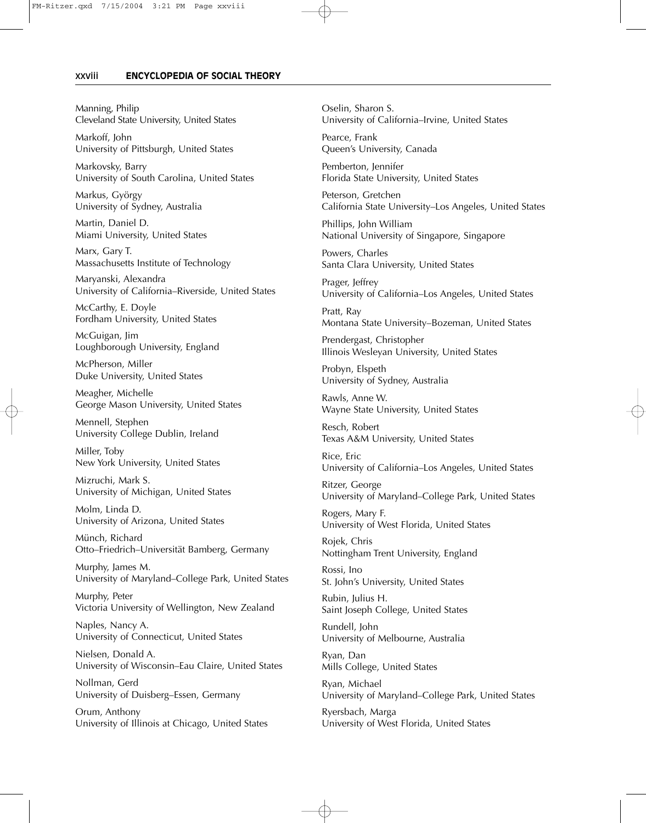#### xxviii———**ENCYCLOPEDIA OF SOCIAL THEORY**

Manning, Philip Cleveland State University, United States

Markoff, John University of Pittsburgh, United States

Markovsky, Barry University of South Carolina, United States

Markus, György University of Sydney, Australia

Martin, Daniel D. Miami University, United States

Marx, Gary T. Massachusetts Institute of Technology

Maryanski, Alexandra University of California–Riverside, United States

McCarthy, E. Doyle Fordham University, United States

McGuigan, Jim Loughborough University, England

McPherson, Miller Duke University, United States

Meagher, Michelle George Mason University, United States

Mennell, Stephen University College Dublin, Ireland

Miller, Toby New York University, United States

Mizruchi, Mark S. University of Michigan, United States

Molm, Linda D. University of Arizona, United States

Münch, Richard Otto–Friedrich–Universität Bamberg, Germany

Murphy, James M. University of Maryland–College Park, United States

Murphy, Peter Victoria University of Wellington, New Zealand

Naples, Nancy A. University of Connecticut, United States

Nielsen, Donald A. University of Wisconsin–Eau Claire, United States

Nollman, Gerd University of Duisberg–Essen, Germany

Orum, Anthony University of Illinois at Chicago, United States Oselin, Sharon S. University of California–Irvine, United States

Pearce, Frank Queen's University, Canada

Pemberton, Jennifer Florida State University, United States

Peterson, Gretchen California State University–Los Angeles, United States

Phillips, John William National University of Singapore, Singapore

Powers, Charles Santa Clara University, United States

Prager, Jeffrey University of California–Los Angeles, United States

Pratt, Ray Montana State University–Bozeman, United States

Prendergast, Christopher Illinois Wesleyan University, United States

Probyn, Elspeth University of Sydney, Australia

Rawls, Anne W. Wayne State University, United States

Resch, Robert Texas A&M University, United States

Rice, Eric University of California–Los Angeles, United States

Ritzer, George University of Maryland–College Park, United States

Rogers, Mary F. University of West Florida, United States

Rojek, Chris Nottingham Trent University, England

Rossi, Ino St. John's University, United States

Rubin, Julius H. Saint Joseph College, United States

Rundell, John University of Melbourne, Australia

Ryan, Dan Mills College, United States

 $\oplus$ 

Ryan, Michael University of Maryland–College Park, United States

Ryersbach, Marga University of West Florida, United States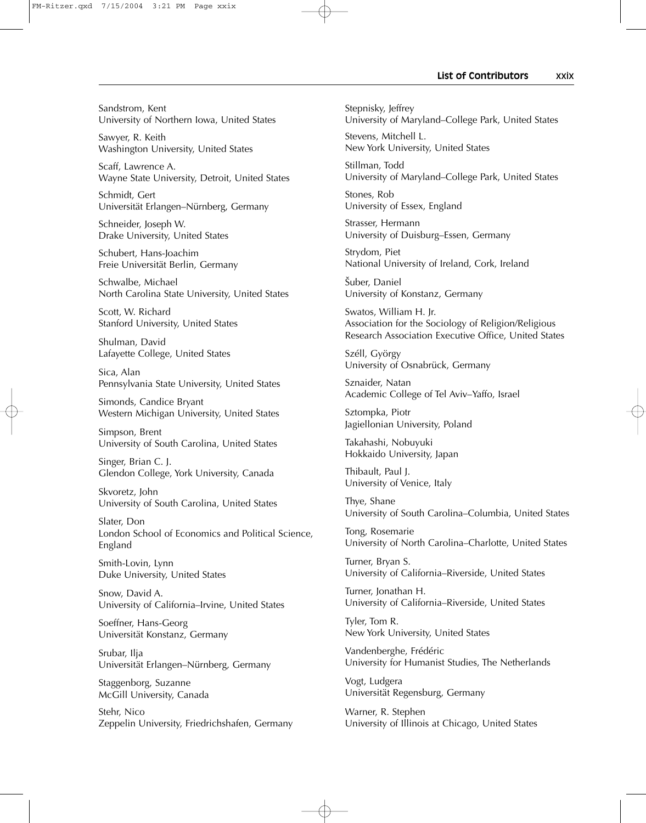### List of Contributors **Marktary XXIX**

FM-Ritzer.qxd 7/15/2004 3:21 PM Page xxix

Sandstrom, Kent University of Northern Iowa, United States

Sawyer, R. Keith Washington University, United States

Scaff, Lawrence A. Wayne State University, Detroit, United States

Schmidt, Gert Universität Erlangen–Nürnberg, Germany

Schneider, Joseph W. Drake University, United States

Schubert, Hans-Joachim Freie Universität Berlin, Germany

Schwalbe, Michael North Carolina State University, United States

Scott, W. Richard Stanford University, United States

Shulman, David Lafayette College, United States

Sica, Alan Pennsylvania State University, United States

Simonds, Candice Bryant Western Michigan University, United States

Simpson, Brent University of South Carolina, United States

Singer, Brian C. J. Glendon College, York University, Canada

Skvoretz, John University of South Carolina, United States

Slater, Don London School of Economics and Political Science, England

Smith-Lovin, Lynn Duke University, United States

Snow, David A. University of California–Irvine, United States

Soeffner, Hans-Georg Universität Konstanz, Germany

Srubar, Ilja Universität Erlangen–Nürnberg, Germany

Staggenborg, Suzanne McGill University, Canada

Stehr, Nico Zeppelin University, Friedrichshafen, Germany Stepnisky, Jeffrey University of Maryland–College Park, United States

Stevens, Mitchell L. New York University, United States

Stillman, Todd University of Maryland–College Park, United States

Stones, Rob University of Essex, England

Strasser, Hermann University of Duisburg–Essen, Germany

Strydom, Piet National University of Ireland, Cork, Ireland

Šuber, Daniel University of Konstanz, Germany

Swatos, William H. Jr. Association for the Sociology of Religion/Religious Research Association Executive Office, United States

Széll, György University of Osnabrück, Germany

Sznaider, Natan Academic College of Tel Aviv–Yaffo, Israel

Sztompka, Piotr Jagiellonian University, Poland

Takahashi, Nobuyuki Hokkaido University, Japan

Thibault, Paul J. University of Venice, Italy

Thye, Shane University of South Carolina–Columbia, United States

Tong, Rosemarie University of North Carolina–Charlotte, United States

Turner, Bryan S. University of California–Riverside, United States

Turner, Jonathan H. University of California–Riverside, United States

Tyler, Tom R. New York University, United States

Vandenberghe, Frédéric University for Humanist Studies, The Netherlands

Vogt, Ludgera Universität Regensburg, Germany

 $\oplus$ 

Warner, R. Stephen University of Illinois at Chicago, United States